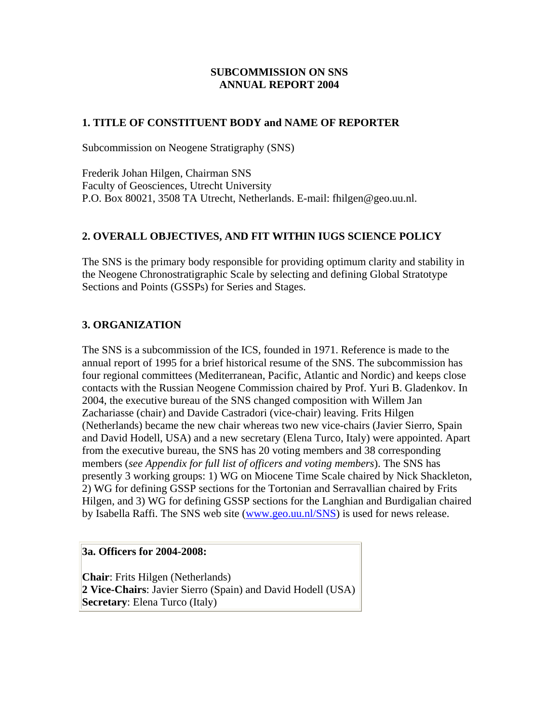### **SUBCOMMISSION ON SNS ANNUAL REPORT 2004**

### **1. TITLE OF CONSTITUENT BODY and NAME OF REPORTER**

Subcommission on Neogene Stratigraphy (SNS)

Frederik Johan Hilgen, Chairman SNS Faculty of Geosciences, Utrecht University P.O. Box 80021, 3508 TA Utrecht, Netherlands. E-mail: fhilgen@geo.uu.nl.

## **2. OVERALL OBJECTIVES, AND FIT WITHIN IUGS SCIENCE POLICY**

The SNS is the primary body responsible for providing optimum clarity and stability in the Neogene Chronostratigraphic Scale by selecting and defining Global Stratotype Sections and Points (GSSPs) for Series and Stages.

## **3. ORGANIZATION**

The SNS is a subcommission of the ICS, founded in 1971. Reference is made to the annual report of 1995 for a brief historical resume of the SNS. The subcommission has four regional committees (Mediterranean, Pacific, Atlantic and Nordic) and keeps close contacts with the Russian Neogene Commission chaired by Prof. Yuri B. Gladenkov. In 2004, the executive bureau of the SNS changed composition with Willem Jan Zachariasse (chair) and Davide Castradori (vice-chair) leaving. Frits Hilgen (Netherlands) became the new chair whereas two new vice-chairs (Javier Sierro, Spain and David Hodell, USA) and a new secretary (Elena Turco, Italy) were appointed. Apart from the executive bureau, the SNS has 20 voting members and 38 corresponding members (*see Appendix for full list of officers and voting members*). The SNS has presently 3 working groups: 1) WG on Miocene Time Scale chaired by Nick Shackleton, 2) WG for defining GSSP sections for the Tortonian and Serravallian chaired by Frits Hilgen, and 3) WG for defining GSSP sections for the Langhian and Burdigalian chaired by Isabella Raffi. The SNS web site [\(www.geo.uu.nl/SNS](http://www.geo.uu.nl/SNS)) is used for news release.

#### **3a. Officers for 2004-2008:**

**Chair**: Frits Hilgen (Netherlands) **2 Vice-Chairs**: Javier Sierro (Spain) and David Hodell (USA) **Secretary**: Elena Turco (Italy)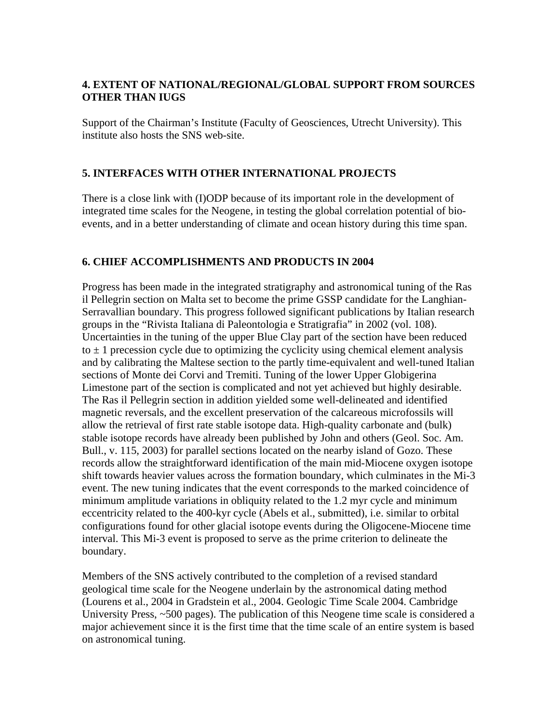# **4. EXTENT OF NATIONAL/REGIONAL/GLOBAL SUPPORT FROM SOURCES OTHER THAN IUGS**

Support of the Chairman's Institute (Faculty of Geosciences, Utrecht University). This institute also hosts the SNS web-site.

# **5. INTERFACES WITH OTHER INTERNATIONAL PROJECTS**

There is a close link with (I)ODP because of its important role in the development of integrated time scales for the Neogene, in testing the global correlation potential of bioevents, and in a better understanding of climate and ocean history during this time span.

## **6. CHIEF ACCOMPLISHMENTS AND PRODUCTS IN 2004**

Progress has been made in the integrated stratigraphy and astronomical tuning of the Ras il Pellegrin section on Malta set to become the prime GSSP candidate for the Langhian-Serravallian boundary. This progress followed significant publications by Italian research groups in the "Rivista Italiana di Paleontologia e Stratigrafia" in 2002 (vol. 108). Uncertainties in the tuning of the upper Blue Clay part of the section have been reduced to  $\pm$  1 precession cycle due to optimizing the cyclicity using chemical element analysis and by calibrating the Maltese section to the partly time-equivalent and well-tuned Italian sections of Monte dei Corvi and Tremiti. Tuning of the lower Upper Globigerina Limestone part of the section is complicated and not yet achieved but highly desirable. The Ras il Pellegrin section in addition yielded some well-delineated and identified magnetic reversals, and the excellent preservation of the calcareous microfossils will allow the retrieval of first rate stable isotope data. High-quality carbonate and (bulk) stable isotope records have already been published by John and others (Geol. Soc. Am. Bull., v. 115, 2003) for parallel sections located on the nearby island of Gozo. These records allow the straightforward identification of the main mid-Miocene oxygen isotope shift towards heavier values across the formation boundary, which culminates in the Mi-3 event. The new tuning indicates that the event corresponds to the marked coincidence of minimum amplitude variations in obliquity related to the 1.2 myr cycle and minimum eccentricity related to the 400-kyr cycle (Abels et al., submitted), i.e. similar to orbital configurations found for other glacial isotope events during the Oligocene-Miocene time interval. This Mi-3 event is proposed to serve as the prime criterion to delineate the boundary.

Members of the SNS actively contributed to the completion of a revised standard geological time scale for the Neogene underlain by the astronomical dating method (Lourens et al., 2004 in Gradstein et al., 2004. Geologic Time Scale 2004. Cambridge University Press, ~500 pages). The publication of this Neogene time scale is considered a major achievement since it is the first time that the time scale of an entire system is based on astronomical tuning.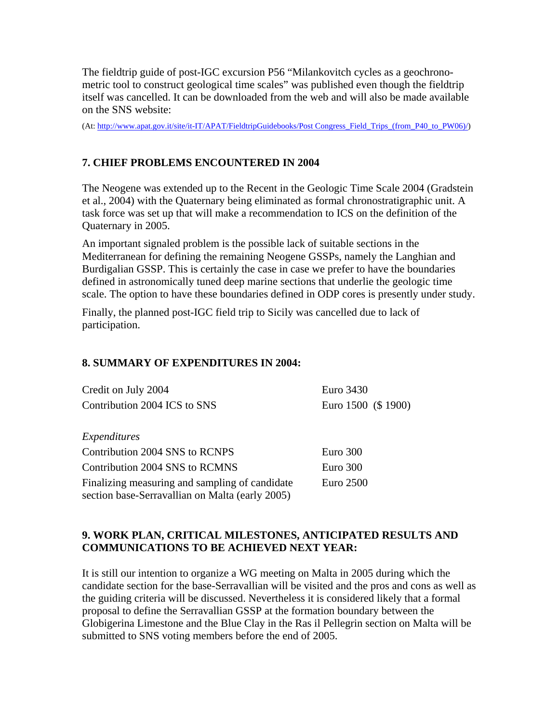The fieldtrip guide of post-IGC excursion P56 "Milankovitch cycles as a geochronometric tool to construct geological time scales" was published even though the fieldtrip itself was cancelled. It can be downloaded from the web and will also be made available on the SNS website:

(At: [http://www.apat.gov.it/site/it-IT/APAT/FieldtripGuidebooks/Post Congress\\_Field\\_Trips\\_\(from\\_P40\\_to\\_PW06\)/\)](http://www.apat.gov.it/site/it-IT/APAT/FieldtripGuidebooks/Post%20Congress_Field_Trips_(from_P40_to_PW06)/)

## **7. CHIEF PROBLEMS ENCOUNTERED IN 2004**

The Neogene was extended up to the Recent in the Geologic Time Scale 2004 (Gradstein et al., 2004) with the Quaternary being eliminated as formal chronostratigraphic unit. A task force was set up that will make a recommendation to ICS on the definition of the Quaternary in 2005.

An important signaled problem is the possible lack of suitable sections in the Mediterranean for defining the remaining Neogene GSSPs, namely the Langhian and Burdigalian GSSP. This is certainly the case in case we prefer to have the boundaries defined in astronomically tuned deep marine sections that underlie the geologic time scale. The option to have these boundaries defined in ODP cores is presently under study.

Finally, the planned post-IGC field trip to Sicily was cancelled due to lack of participation.

### **8. SUMMARY OF EXPENDITURES IN 2004:**

| Credit on July 2004                                                                               | Euro 3430           |
|---------------------------------------------------------------------------------------------------|---------------------|
| Contribution 2004 ICS to SNS                                                                      | Euro 1500 (\$ 1900) |
|                                                                                                   |                     |
| Expenditures                                                                                      |                     |
| Contribution 2004 SNS to RCNPS                                                                    | Euro 300            |
| Contribution 2004 SNS to RCMNS                                                                    | Euro 300            |
| Finalizing measuring and sampling of candidate<br>section base-Serravallian on Malta (early 2005) | Euro 2500           |

## **9. WORK PLAN, CRITICAL MILESTONES, ANTICIPATED RESULTS AND COMMUNICATIONS TO BE ACHIEVED NEXT YEAR:**

It is still our intention to organize a WG meeting on Malta in 2005 during which the candidate section for the base-Serravallian will be visited and the pros and cons as well as the guiding criteria will be discussed. Nevertheless it is considered likely that a formal proposal to define the Serravallian GSSP at the formation boundary between the Globigerina Limestone and the Blue Clay in the Ras il Pellegrin section on Malta will be submitted to SNS voting members before the end of 2005.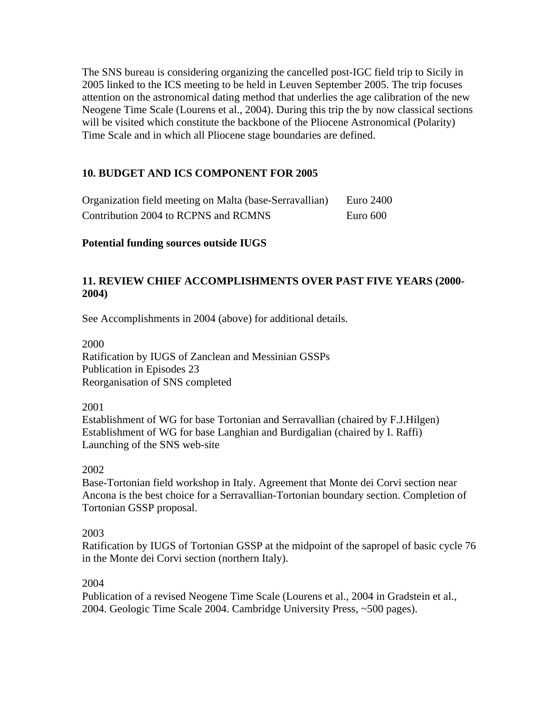The SNS bureau is considering organizing the cancelled post-IGC field trip to Sicily in 2005 linked to the ICS meeting to be held in Leuven September 2005. The trip focuses attention on the astronomical dating method that underlies the age calibration of the new Neogene Time Scale (Lourens et al., 2004). During this trip the by now classical sections will be visited which constitute the backbone of the Pliocene Astronomical (Polarity) Time Scale and in which all Pliocene stage boundaries are defined.

### **10. BUDGET AND ICS COMPONENT FOR 2005**

| Organization field meeting on Malta (base-Serravallian) | Euro 2400 |
|---------------------------------------------------------|-----------|
| Contribution 2004 to RCPNS and RCMNS                    | Euro 600  |

#### **Potential funding sources outside IUGS**

## **11. REVIEW CHIEF ACCOMPLISHMENTS OVER PAST FIVE YEARS (2000- 2004)**

See Accomplishments in 2004 (above) for additional details.

2000 Ratification by IUGS of Zanclean and Messinian GSSPs Publication in Episodes 23 Reorganisation of SNS completed

2001

Establishment of WG for base Tortonian and Serravallian (chaired by F.J.Hilgen) Establishment of WG for base Langhian and Burdigalian (chaired by I. Raffi) Launching of the SNS web-site

#### 2002

Base-Tortonian field workshop in Italy. Agreement that Monte dei Corvi section near Ancona is the best choice for a Serravallian-Tortonian boundary section. Completion of Tortonian GSSP proposal.

#### 2003

Ratification by IUGS of Tortonian GSSP at the midpoint of the sapropel of basic cycle 76 in the Monte dei Corvi section (northern Italy).

#### 2004

Publication of a revised Neogene Time Scale (Lourens et al., 2004 in Gradstein et al., 2004. Geologic Time Scale 2004. Cambridge University Press, ~500 pages).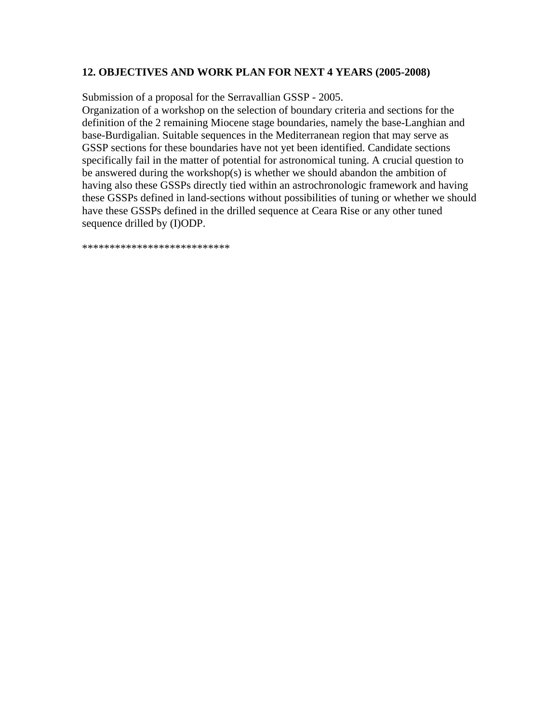#### **12. OBJECTIVES AND WORK PLAN FOR NEXT 4 YEARS (2005-2008)**

Submission of a proposal for the Serravallian GSSP - 2005.

Organization of a workshop on the selection of boundary criteria and sections for the definition of the 2 remaining Miocene stage boundaries, namely the base-Langhian and base-Burdigalian. Suitable sequences in the Mediterranean region that may serve as GSSP sections for these boundaries have not yet been identified. Candidate sections specifically fail in the matter of potential for astronomical tuning. A crucial question to be answered during the workshop(s) is whether we should abandon the ambition of having also these GSSPs directly tied within an astrochronologic framework and having these GSSPs defined in land-sections without possibilities of tuning or whether we should have these GSSPs defined in the drilled sequence at Ceara Rise or any other tuned sequence drilled by (I)ODP.

\*\*\*\*\*\*\*\*\*\*\*\*\*\*\*\*\*\*\*\*\*\*\*\*\*\*\*